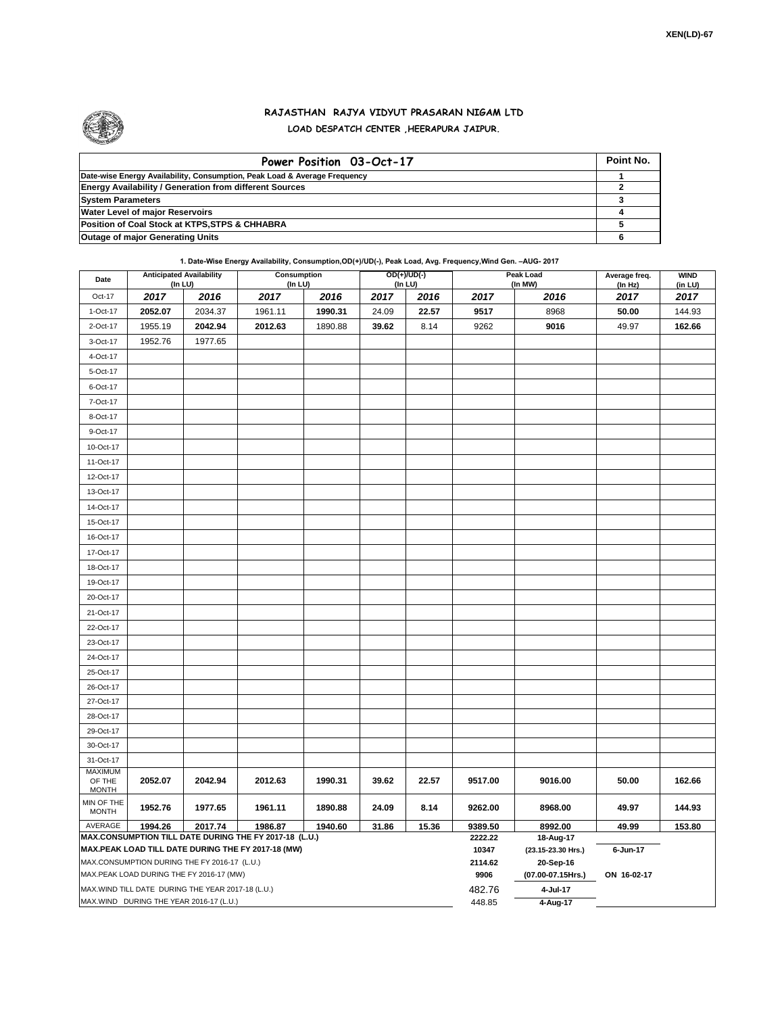

## **RAJASTHAN RAJYA VIDYUT PRASARAN NIGAM LTD LOAD DESPATCH CENTER ,HEERAPURA JAIPUR.**

| Power Position 03-Oct-17                                                  | Point No. |
|---------------------------------------------------------------------------|-----------|
| Date-wise Energy Availability, Consumption, Peak Load & Average Frequency |           |
| <b>Energy Availability / Generation from different Sources</b>            |           |
| <b>System Parameters</b>                                                  |           |
| <b>Water Level of major Reservoirs</b>                                    |           |
| Position of Coal Stock at KTPS, STPS & CHHABRA                            |           |
| <b>Outage of major Generating Units</b>                                   |           |

**1. Date-Wise Energy Availability, Consumption,OD(+)/UD(-), Peak Load, Avg. Frequency,Wind Gen. –AUG- 2017**

| Date                                                                                                         | <b>Anticipated Availability</b><br>(In LU) |         | Consumption<br>(In LU) |         |       | OD(+)/UD(-)<br>(In LU) |                    | Peak Load<br>(In MW)            | Average freq.<br>(In Hz) | <b>WIND</b><br>(in LU) |
|--------------------------------------------------------------------------------------------------------------|--------------------------------------------|---------|------------------------|---------|-------|------------------------|--------------------|---------------------------------|--------------------------|------------------------|
| Oct-17                                                                                                       | 2017                                       | 2016    | 2017                   | 2016    | 2017  | 2016                   | 2017               | 2016                            | 2017                     | 2017                   |
| 1-Oct-17                                                                                                     | 2052.07                                    | 2034.37 | 1961.11                | 1990.31 | 24.09 | 22.57                  | 9517               | 8968                            | 50.00                    | 144.93                 |
| 2-Oct-17                                                                                                     | 1955.19                                    | 2042.94 | 2012.63                | 1890.88 | 39.62 | 8.14                   | 9262               | 9016                            | 49.97                    | 162.66                 |
| 3-Oct-17                                                                                                     | 1952.76                                    | 1977.65 |                        |         |       |                        |                    |                                 |                          |                        |
| 4-Oct-17                                                                                                     |                                            |         |                        |         |       |                        |                    |                                 |                          |                        |
| 5-Oct-17                                                                                                     |                                            |         |                        |         |       |                        |                    |                                 |                          |                        |
| 6-Oct-17                                                                                                     |                                            |         |                        |         |       |                        |                    |                                 |                          |                        |
| 7-Oct-17                                                                                                     |                                            |         |                        |         |       |                        |                    |                                 |                          |                        |
| 8-Oct-17                                                                                                     |                                            |         |                        |         |       |                        |                    |                                 |                          |                        |
| 9-Oct-17                                                                                                     |                                            |         |                        |         |       |                        |                    |                                 |                          |                        |
| 10-Oct-17                                                                                                    |                                            |         |                        |         |       |                        |                    |                                 |                          |                        |
| 11-Oct-17                                                                                                    |                                            |         |                        |         |       |                        |                    |                                 |                          |                        |
| 12-Oct-17                                                                                                    |                                            |         |                        |         |       |                        |                    |                                 |                          |                        |
| 13-Oct-17                                                                                                    |                                            |         |                        |         |       |                        |                    |                                 |                          |                        |
| 14-Oct-17                                                                                                    |                                            |         |                        |         |       |                        |                    |                                 |                          |                        |
| 15-Oct-17                                                                                                    |                                            |         |                        |         |       |                        |                    |                                 |                          |                        |
| 16-Oct-17                                                                                                    |                                            |         |                        |         |       |                        |                    |                                 |                          |                        |
| 17-Oct-17                                                                                                    |                                            |         |                        |         |       |                        |                    |                                 |                          |                        |
| 18-Oct-17                                                                                                    |                                            |         |                        |         |       |                        |                    |                                 |                          |                        |
| 19-Oct-17                                                                                                    |                                            |         |                        |         |       |                        |                    |                                 |                          |                        |
| 20-Oct-17                                                                                                    |                                            |         |                        |         |       |                        |                    |                                 |                          |                        |
| 21-Oct-17                                                                                                    |                                            |         |                        |         |       |                        |                    |                                 |                          |                        |
| 22-Oct-17                                                                                                    |                                            |         |                        |         |       |                        |                    |                                 |                          |                        |
| 23-Oct-17                                                                                                    |                                            |         |                        |         |       |                        |                    |                                 |                          |                        |
| 24-Oct-17                                                                                                    |                                            |         |                        |         |       |                        |                    |                                 |                          |                        |
| 25-Oct-17                                                                                                    |                                            |         |                        |         |       |                        |                    |                                 |                          |                        |
| 26-Oct-17                                                                                                    |                                            |         |                        |         |       |                        |                    |                                 |                          |                        |
| 27-Oct-17                                                                                                    |                                            |         |                        |         |       |                        |                    |                                 |                          |                        |
| 28-Oct-17                                                                                                    |                                            |         |                        |         |       |                        |                    |                                 |                          |                        |
| 29-Oct-17                                                                                                    |                                            |         |                        |         |       |                        |                    |                                 |                          |                        |
| 30-Oct-17                                                                                                    |                                            |         |                        |         |       |                        |                    |                                 |                          |                        |
| 31-Oct-17                                                                                                    |                                            |         |                        |         |       |                        |                    |                                 |                          |                        |
| <b>MAXIMUM</b><br>OF THE<br><b>MONTH</b>                                                                     | 2052.07                                    | 2042.94 | 2012.63                | 1990.31 | 39.62 | 22.57                  | 9517.00            | 9016.00                         | 50.00                    | 162.66                 |
| MIN OF THE<br><b>MONTH</b>                                                                                   | 1952.76                                    | 1977.65 | 1961.11                | 1890.88 | 24.09 | 8.14                   | 9262.00            | 8968.00                         | 49.97                    | 144.93                 |
| AVERAGE                                                                                                      | 1994.26                                    | 2017.74 | 1986.87                | 1940.60 | 31.86 | 15.36                  | 9389.50<br>2222.22 | 8992.00                         | 49.99                    | 153.80                 |
| MAX.CONSUMPTION TILL DATE DURING THE FY 2017-18 (L.U.)<br>MAX.PEAK LOAD TILL DATE DURING THE FY 2017-18 (MW) |                                            |         |                        |         |       |                        |                    | 18-Aug-17<br>(23.15-23.30 Hrs.) | 6-Jun-17                 |                        |
| MAX.CONSUMPTION DURING THE FY 2016-17 (L.U.)                                                                 |                                            |         |                        |         |       |                        |                    | 20-Sep-16                       |                          |                        |
| MAX.PEAK LOAD DURING THE FY 2016-17 (MW)                                                                     |                                            |         |                        |         |       |                        | 2114.62<br>9906    | (07.00-07.15Hrs.)               | ON 16-02-17              |                        |
| MAX.WIND TILL DATE DURING THE YEAR 2017-18 (L.U.)                                                            |                                            |         |                        |         |       |                        | 482.76             | 4-Jul-17                        |                          |                        |
| MAX.WIND DURING THE YEAR 2016-17 (L.U.)                                                                      |                                            |         |                        |         |       |                        | 448.85             | 4-Aug-17                        |                          |                        |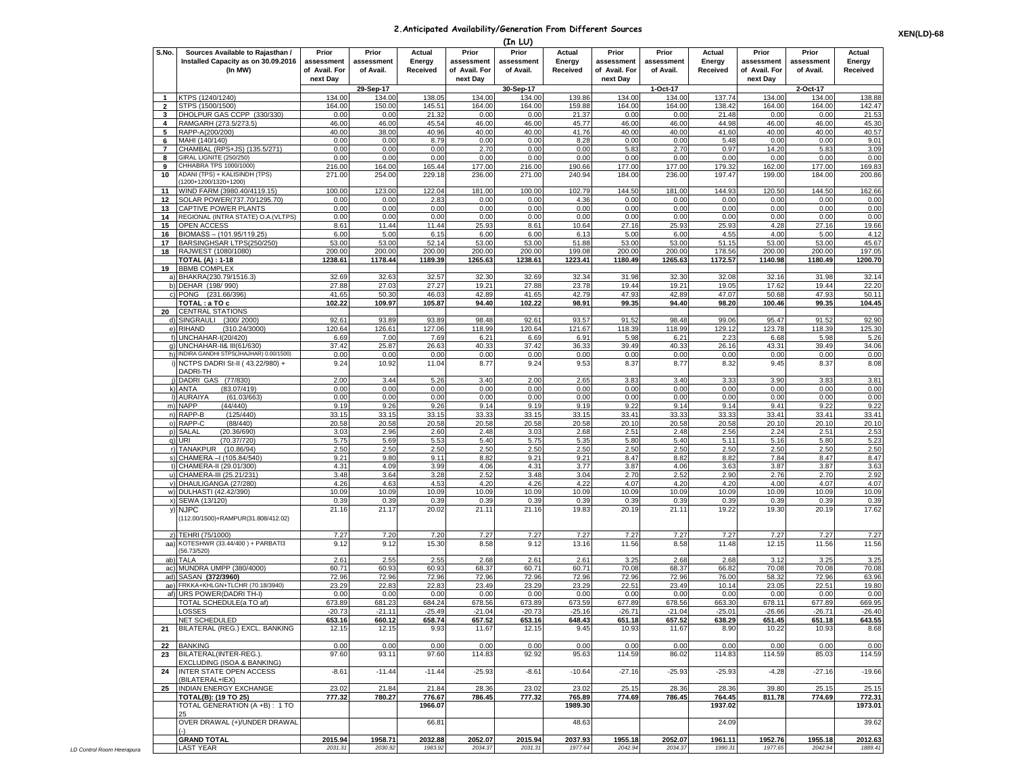## **2.Anticipated Availability/Generation From Different Sources**

|                         |                                                                                    |                                      |                                  |                              |                                      | (In LU)                          |                              |                                      |                                  |                                     |                                      |                                  |                              |
|-------------------------|------------------------------------------------------------------------------------|--------------------------------------|----------------------------------|------------------------------|--------------------------------------|----------------------------------|------------------------------|--------------------------------------|----------------------------------|-------------------------------------|--------------------------------------|----------------------------------|------------------------------|
| S.No.                   | Sources Available to Rajasthan /<br>Installed Capacity as on 30.09.2016<br>(In MW) | Prior<br>assessment<br>of Avail. For | Prior<br>assessment<br>of Avail. | Actual<br>Energy<br>Received | Prior<br>assessment<br>of Avail. For | Prior<br>assessment<br>of Avail. | Actual<br>Energy<br>Received | Prior<br>assessment<br>of Avail. For | Prior<br>assessment<br>of Avail. | Actual<br>Energy<br><b>Received</b> | Prior<br>assessment<br>of Avail. For | Prior<br>assessment<br>of Avail. | Actual<br>Energy<br>Received |
|                         |                                                                                    | next Dav                             | 29-Sep-17                        |                              | next Day                             | 30-Sep-17                        |                              | next Day                             | 1-Oct-17                         |                                     | next Dav                             | 2-Oct-17                         |                              |
| $\mathbf{1}$            | <b>(TPS (1240/1240)</b>                                                            | 134.00                               | 134.00                           | 138.05                       | 134.00                               | 134.00                           | 139.86                       | 134.00                               | 134.00                           | 137.74                              | 134.00                               | 134.00                           | 138.88                       |
| $\overline{\mathbf{2}}$ | STPS (1500/1500)                                                                   | 164.00                               | 150.00                           | 145.51                       | 164.00                               | 164.00                           | 159.88                       | 164.00                               | 164.00                           | 138.42                              | 164.00                               | 164.00                           | 142.47                       |
| 3                       | DHOLPUR GAS CCPP (330/330)                                                         | 0.00                                 | 0.00                             | 21.32                        | 0.00                                 | 0.00                             | 21.37                        | 0.00                                 | 0.00                             | 21.48                               | 0.00                                 | 0.00                             | 21.53                        |
| 4<br>5                  | RAMGARH (273.5/273.5)<br>RAPP-A(200/200)                                           | 46.00<br>40.00                       | 46.00<br>38.00                   | 45.54<br>40.96               | 46.00<br>40.00                       | 46.00<br>40.00                   | 45.77<br>41.76               | 46.00<br>40.00                       | 46.00<br>40.00                   | 44.98<br>41.60                      | 46.00<br>40.00                       | 46.00<br>40.00                   | 45.30<br>40.57               |
| 6                       | MAHI (140/140)                                                                     | 0.00                                 | 0.00                             | 8.79                         | 0.00                                 | 0.00                             | 8.28                         | 0.00                                 | 0.00                             | 5.48                                | 0.00                                 | 0.00                             | 9.01                         |
| $\overline{7}$          | CHAMBAL (RPS+JS) (135.5/271)                                                       | 0.00                                 | 0.00                             | 0.00                         | 2.7C                                 | 0.00                             | 0.00                         | 5.83                                 | 2.70                             | 0.97                                | 14.20                                | 5.83                             | 3.09                         |
| 8                       | GIRAL LIGNITE (250/250)<br>CHHABRA TPS 1000/1000)                                  | 0.00<br>216.00                       | 0.00<br>164.00                   | 0.00<br>165.44               | 0.00<br>177.00                       | 0.00<br>216.00                   | 0.00<br>190.66               | 0.00<br>177.00                       | 0.00<br>177.00                   | 0.00<br>179.32                      | 0.00<br>162.00                       | 0.00<br>177.00                   | 0.00                         |
| 9<br>10                 | ADANI (TPS) + KALISINDH (TPS)<br>1200+1200/1320+1200)                              | 271.00                               | 254.00                           | 229.18                       | 236.00                               | 271.00                           | 240.94                       | 184.00                               | 236.00                           | 197.47                              | 199.00                               | 184.00                           | 169.83<br>200.86             |
| 11                      | WIND FARM (3980.40/4119.15)                                                        | 100.00                               | 123.00                           | 122.04                       | 181.00                               | 100.00                           | 102.79                       | 144.50                               | 181.00                           | 144.93                              | 120.50                               | 144.50                           | 162.66                       |
| 12                      | SOLAR POWER(737.70/1295.70)                                                        | 0.00                                 | 0.00                             | 2.83                         | 0.00                                 | 0.00                             | 4.36                         | 0.00                                 | 0.00                             | 0.00                                | 0.00                                 | 0.00                             | 0.00                         |
| 13<br>14                | CAPTIVE POWER PLANTS<br>REGIONAL (INTRA STATE) O.A. (VLTPS)                        | 0.00<br>0.00                         | 0.00<br>0.00                     | 0.00<br>0.00                 | 0.00<br>0.00                         | 0.00<br>0.00                     | 0.00<br>0.00                 | 0.00<br>0.00                         | 0.00<br>0.00                     | 0.00<br>0.00                        | 0.00<br>0.00                         | 0.00<br>0.00                     | 0.00<br>0.00                 |
| 15                      | OPEN ACCESS                                                                        | 8.61                                 | 11.44                            | 11.44                        | 25.93                                | 8.61                             | 10.64                        | 27.16                                | 25.93                            | 25.93                               | 4.28                                 | 27.16                            | 19.66                        |
| 16                      | BIOMASS - (101.95/119.25)                                                          | 6.00                                 | 5.00                             | 6.15                         | 6.00                                 | 6.00                             | 6.13                         | 5.00                                 | 6.00                             | 4.55                                | 4.00                                 | 5.00                             | 4.12                         |
| 17                      | BARSINGHSAR LTPS(250/250)                                                          | 53.00                                | 53.00                            | 52.14                        | 53.00                                | 53.00                            | 51.88                        | 53.00                                | 53.00                            | 51.15                               | 53.00                                | 53.00                            | 45.67                        |
| 18                      | RAJWEST (1080/1080)<br>TOTAL (A) : 1-18                                            | 200.00<br>1238.61                    | 200.00<br>1178.44                | 200.00<br>1189.39            | 200.00<br>1265.63                    | 200.00<br>1238.61                | 199.08<br>1223.41            | 200.00<br>1180.49                    | 200.00<br>1265.63                | 178.56<br>1172.57                   | 200.00<br>1140.98                    | 200.00<br>1180.49                | 197.05<br>1200.70            |
| 19                      | <b>BBMB COMPLEX</b>                                                                |                                      |                                  |                              |                                      |                                  |                              |                                      |                                  |                                     |                                      |                                  |                              |
|                         | a) BHAKRA(230.79/1516.3)                                                           | 32.69                                | 32.63                            | 32.57                        | 32.30                                | 32.69                            | 32.34                        | 31.98                                | 32.30                            | 32.08                               | 32.16                                | 31.98                            | 32.14                        |
|                         | b) DEHAR (198/990)<br>c) PONG (231.66/396)                                         | 27.88<br>41.65                       | 27.03<br>50.30                   | 27.27<br>46.03               | 19.21<br>42.89                       | 27.88<br>41.65                   | 23.78<br>42.79               | 19.44<br>47.93                       | 19.21<br>42.89                   | 19.05<br>47.07                      | 17.62<br>50.68                       | 19.44<br>47.93                   | 22.20<br>50.11               |
|                         | TOTAL : a TO c                                                                     | 102.22                               | 109.97                           | 105.87                       | 94.40                                | 102.22                           | 98.91                        | 99.35                                | 94.40                            | 98.20                               | 100.46                               | 99.35                            | 104.45                       |
| 20                      | <b>CENTRAL STATIONS</b>                                                            |                                      |                                  |                              |                                      |                                  |                              |                                      |                                  |                                     |                                      |                                  |                              |
|                         | d) SINGRAULI (300/2000)                                                            | 92.61                                | 93.89                            | 93.89                        | 98.48                                | 92.61                            | 93.57                        | 91.52                                | 98.48                            | 99.06                               | 95.47                                | 91.52                            | 92.90                        |
|                         | e) RIHAND<br>(310.24/3000)<br>f) UNCHAHAR-I(20/420)                                | 120.64<br>6.69                       | 126.61<br>7.00                   | 127.06<br>7.69               | 118.99<br>6.21                       | 120.64<br>6.69                   | 121.67<br>6.91               | 118.39<br>5.98                       | 118.99<br>6.21                   | 129.12<br>2.23                      | 123.78<br>6.68                       | 118.39<br>5.98                   | 125.30<br>5.26               |
|                         | q) UNCHAHAR-II& III(61/630)                                                        | 37.42                                | 25.87                            | 26.63                        | 40.33                                | 37.42                            | 36.33                        | 39.49                                | 40.33                            | 26.16                               | 43.31                                | 39.49                            | 34.06                        |
|                         | h) INDIRA GANDHI STPS(JHAJHAR) 0.00/1500)                                          | 0.00                                 | 0.00                             | 0.00                         | 0.00                                 | 0.00                             | 0.00                         | 0.00                                 | 0.00                             | 0.00                                | 0.00                                 | 0.00                             | 0.00                         |
|                         | i) NCTPS DADRI St-II (43.22/980) +<br>DADRI-TH                                     | 9.24                                 | 10.92                            | 11.04                        | 8.77                                 | 9.24                             | 9.53                         | 8.37                                 | 8.77                             | 8.32                                | 9.45                                 | 8.37                             | 8.08                         |
|                         | i) DADRI GAS (77/830)<br>k) ANTA<br>(83.07/419)                                    | 2.00<br>0.00                         | 3.44<br>0.00                     | 5.26<br>0.00                 | 3.40<br>0.00                         | 2.00<br>0.00                     | 2.65<br>0.00                 | 3.83<br>0.00                         | 3.40<br>0.00                     | 3.33<br>0.00                        | 3.90<br>0.00                         | 3.83<br>0.00                     | 3.81<br>0.00                 |
|                         | I) AURAIYA<br>(61.03/663)                                                          | 0.00                                 | 0.00                             | 0.00                         | 0.00                                 | 0.00                             | 0.00                         | 0.00                                 | 0.00                             | 0.00                                | 0.00                                 | 0.00                             | 0.00                         |
|                         | m) NAPP<br>(44/440)                                                                | 9.19                                 | 9.26                             | 9.26                         | 9.14                                 | 9.19                             | 9.19                         | 9.22                                 | 9.14                             | 9.14                                | 9.41                                 | 9.22                             | 9.22                         |
|                         | n) RAPP-B<br>(125/440)                                                             | 33.15                                | 33.15                            | 33.15                        | 33.33                                | 33.15                            | 33.15                        | 33.41                                | 33.33                            | 33.33                               | 33.41                                | 33.41                            | 33.41                        |
| p)                      | o) RAPP-C<br>(88/440)<br>SALAL<br>(20.36/690)                                      | 20.58<br>3.03                        | 20.58<br>2.96                    | 20.58<br>2.60                | 20.58<br>2.48                        | 20.58<br>3.03                    | 20.58<br>2.68                | 20.10<br>2.51                        | 20.58<br>2.48                    | 20.58<br>2.56                       | 20.10<br>2.24                        | 20.10<br>2.51                    | 20.10<br>2.53                |
|                         | (70.37/720)<br>q) URI                                                              | 5.75                                 | 5.69                             | 5.53                         | 5.40                                 | 5.75                             | 5.35                         | 5.80                                 | 5.40                             | 5.11                                | 5.16                                 | 5.80                             | 5.23                         |
|                         | r) TANAKPUR<br>(10.86/94)                                                          | 2.50                                 | 2.50                             | 2.50                         | 2.5C                                 | 2.50                             | 2.50                         | 2.50                                 | 2.50                             | 2.50                                | 2.50                                 | 2.50                             | 2.50                         |
|                         | s) CHAMERA - (105.84/540)<br>t) CHAMERA-II (29.01/300)                             | 9.21<br>4.31                         | 9.80<br>4.09                     | 9.11<br>3.99                 | 8.82<br>4.06                         | 9.21<br>4.31                     | 9.21<br>3.77                 | 8.47<br>3.87                         | 8.82<br>4.06                     | 8.82<br>3.63                        | 7.84<br>3.87                         | 8.47<br>3.87                     | 8.47<br>3.63                 |
|                         | u) CHAMERA-III (25.21/231)                                                         | 3.48                                 | 3.64                             | 3.28                         | 2.52                                 | 3.48                             | 3.04                         | 2.70                                 | 2.52                             | 2.90                                | 2.76                                 | 2.70                             | 2.92                         |
|                         | v) DHAULIGANGA (27/280)                                                            | 4.26                                 | 4.63                             | 4.53                         | 4.20                                 | 4.26                             | 4.22                         | 4.07                                 | 4.20                             | 4.20                                | 4.00                                 | 4.07                             | 4.07                         |
|                         | w) DULHASTI (42.42/390)                                                            | 10.09                                | 10.09                            | 10.09                        | 10.09                                | 10.09                            | 10.09                        | 10.09                                | 10.09                            | 10.09                               | 10.09                                | 10.09                            | 10.09                        |
|                         | x) SEWA (13/120)<br>y) NJPC                                                        | 0.39<br>21.16                        | 0.39<br>21.17                    | 0.39<br>20.02                | 0.39<br>21.11                        | 0.39<br>21.16                    | 0.39<br>19.83                | 0.39<br>20.19                        | 0.39<br>21.11                    | 0.39<br>19.22                       | 0.39<br>19.30                        | 0.39<br>20.19                    | 0.39<br>17.62                |
|                         | (112.00/1500)+RAMPUR(31.808/412.02)                                                |                                      |                                  |                              |                                      |                                  |                              |                                      |                                  |                                     |                                      |                                  |                              |
|                         | TEHRI (75/1000)                                                                    | 7.27                                 | 7.20                             | 7.20                         | 7.27                                 | 7.27                             | 7.27                         | 7.27                                 | 7.27                             | 7.27                                | 7.27                                 | 7.27                             | 7.27                         |
| aa)                     | KOTESHWR (33.44/400) + PARBATI3<br>56.73/520)                                      | 9.12                                 | 9.12                             | 15.30                        | 8.58                                 | 9.12                             | 13.16                        | 11.56                                | 8.58                             | 11.48                               | 12.15                                | 11.56                            | 11.56                        |
| ab)                     | TALA                                                                               | 2.61                                 | 2.55                             | 2.55                         | 2.68                                 | 2.61                             | 2.61                         | 3.25                                 | 2.68                             | 2.68                                | 3.12                                 | 3.25                             | 3.25                         |
| ac)                     | MUNDRA UMPP (380/4000)                                                             | 60.71                                | 60.93                            | 60.93                        | 68.37                                | 60.71                            | 60.71                        | 70.08                                | 68.37                            | 66.82                               | 70.08                                | 70.08                            | 70.08                        |
| ad)                     | SASAN (372/3960)                                                                   | 72.96<br>23.29                       | 72.96<br>22.83                   | 72.96<br>22.8                | 72.96<br>23.49                       | 72.96                            | 72.96                        | 72.96                                | 72.96<br>23.49                   | 76.00                               | 58.32                                | 72.96<br>22.5'                   | 63.96                        |
| ae)                     | RKKA+KHLGN+TLCHR (70.18/3940)<br>af) URS POWER(DADRI TH-I)                         | 0.00                                 | 0.00                             | 0.00                         | 0.00                                 | 23.29<br>0.00                    | 23.29<br>0.00                | $22.5^{\circ}$<br>0.00               | 0.00                             | 10.14<br>0.00                       | 23.05<br>0.00                        | 0.00                             | 19.80<br>0.00                |
|                         | TOTAL SCHEDULE(a TO af                                                             | 673.89                               | 681.23                           | 684.24                       | 678.56                               | 673.89                           | 673.59                       | 677.89                               | 678.56                           | 663.30                              | 678.11                               | 677.89                           | 669.95                       |
|                         | LOSSES                                                                             | $-20.73$                             | $-21.11$                         | $-25.49$                     | -21.04                               | $-20.73$                         | $-25.16$                     | $-26.71$                             | -21.04                           | $-25.01$                            | $-26.66$                             | $-26.71$                         | $-26.40$                     |
| 21                      | NET SCHEDULED<br>BILATERAL (REG.) EXCL. BANKING                                    | 653.16<br>12.15                      | 660.12<br>12.15                  | 658.74<br>9.93               | 657.52<br>11.67                      | 653.16<br>12.15                  | 648.43<br>9.45               | 651.18<br>10.93                      | 657.52<br>11.67                  | 638.29<br>8.90                      | 651.45<br>10.22                      | 651.18<br>10.93                  | 643.55<br>8.68               |
| 22                      | <b>BANKING</b>                                                                     | 0.00                                 | 0.00                             | 0.00                         | 0.00                                 | 0.00                             | 0.00                         | 0.00                                 | 0.00                             | 0.00                                | 0.00                                 | 0.00                             | 0.00                         |
| 23                      | BILATERAL(INTER-REG.).<br>EXCLUDING (ISOA & BANKING)                               | 97.60                                | 93.11                            | 97.60                        | 114.83                               | 92.92                            | 95.63                        | 114.59                               | 86.02                            | 114.83                              | 114.59                               | 85.03                            | 114.59                       |
| 24                      | INTER STATE OPEN ACCESS<br>(BILATERAL+IEX)                                         | $-8.61$                              | $-11.44$                         | $-11.44$                     | $-25.93$                             | $-8.61$                          | $-10.64$                     | $-27.16$                             | $-25.93$                         | $-25.93$                            | $-4.28$                              | $-27.16$                         | $-19.66$                     |
| 25                      | INDIAN ENERGY EXCHANGE                                                             | 23.02                                | 21.84                            | 21.84                        | 28.36                                | 23.02                            | 23.02                        | 25.15                                | 28.36                            | 28.36                               | 39.80                                | 25.15                            | 25.15                        |
|                         | <b>TOTAL(B): (19 TO 25)</b><br>TOTAL GENERATION (A +B) : 1 TO                      | 777.32                               | 780.27                           | 776.67<br>1966.07            | 786.45                               | 777.32                           | 765.89<br>1989.30            | 774.69                               | 786.45                           | 764.45<br>1937.02                   | 811.78                               | 774.69                           | 772.31<br>1973.01            |
|                         | 25<br>OVER DRAWAL (+)/UNDER DRAWAL                                                 |                                      |                                  | 66.81                        |                                      |                                  | 48.63                        |                                      |                                  | 24.09                               |                                      |                                  | 39.62                        |
|                         |                                                                                    |                                      |                                  |                              |                                      |                                  |                              |                                      |                                  |                                     |                                      |                                  |                              |
|                         | <b>GRAND TOTAL</b><br><b>LAST YEAR</b>                                             | 2015.94<br>2031.31                   | 1958.71<br>2030.92               | 2032.88<br>1983.92           | 2052.07<br>2034.37                   | 2015.94<br>2031.31               | 2037.93<br>1977.64           | 1955.18<br>2042.94                   | 2052.07<br>2034.37               | 1961.11<br>1990.31                  | 1952.76<br>1977.65                   | 1955.18<br>2042.94               | 2012.63<br>1889.41           |